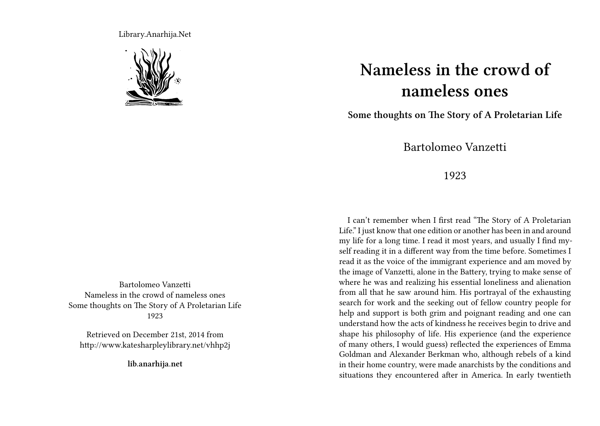Library.Anarhija.Net



Bartolomeo Vanzetti Nameless in the crowd of nameless ones Some thoughts on The Story of A Proletarian Life 1923

Retrieved on December 21st, 2014 from http://www.katesharpleylibrary.net/vhhp2j

**lib.anarhija.net**

## **Nameless in the crowd of nameless ones**

**Some thoughts on The Story of A Proletarian Life**

Bartolomeo Vanzetti

## 1923

I can't remember when I first read "The Story of A Proletarian Life." I just know that one edition or another has been in and around my life for a long time. I read it most years, and usually I find myself reading it in a different way from the time before. Sometimes I read it as the voice of the immigrant experience and am moved by the image of Vanzetti, alone in the Battery, trying to make sense of where he was and realizing his essential loneliness and alienation from all that he saw around him. His portrayal of the exhausting search for work and the seeking out of fellow country people for help and support is both grim and poignant reading and one can understand how the acts of kindness he receives begin to drive and shape his philosophy of life. His experience (and the experience of many others, I would guess) reflected the experiences of Emma Goldman and Alexander Berkman who, although rebels of a kind in their home country, were made anarchists by the conditions and situations they encountered after in America. In early twentieth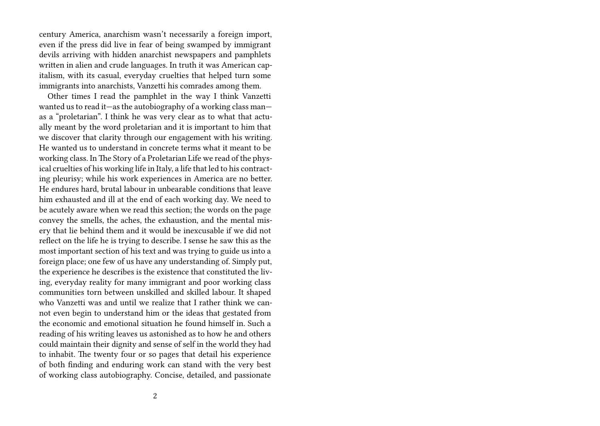century America, anarchism wasn't necessarily a foreign import, even if the press did live in fear of being swamped by immigrant devils arriving with hidden anarchist newspapers and pamphlets written in alien and crude languages. In truth it was American capitalism, with its casual, everyday cruelties that helped turn some immigrants into anarchists, Vanzetti his comrades among them.

Other times I read the pamphlet in the way I think Vanzetti wanted us to read it—as the autobiography of a working class man as a "proletarian". I think he was very clear as to what that actually meant by the word proletarian and it is important to him that we discover that clarity through our engagement with his writing. He wanted us to understand in concrete terms what it meant to be working class. In The Story of a Proletarian Life we read of the physical cruelties of his working life in Italy, a life that led to his contracting pleurisy; while his work experiences in America are no better. He endures hard, brutal labour in unbearable conditions that leave him exhausted and ill at the end of each working day. We need to be acutely aware when we read this section; the words on the page convey the smells, the aches, the exhaustion, and the mental misery that lie behind them and it would be inexcusable if we did not reflect on the life he is trying to describe. I sense he saw this as the most important section of his text and was trying to guide us into a foreign place; one few of us have any understanding of. Simply put, the experience he describes is the existence that constituted the living, everyday reality for many immigrant and poor working class communities torn between unskilled and skilled labour. It shaped who Vanzetti was and until we realize that I rather think we cannot even begin to understand him or the ideas that gestated from the economic and emotional situation he found himself in. Such a reading of his writing leaves us astonished as to how he and others could maintain their dignity and sense of self in the world they had to inhabit. The twenty four or so pages that detail his experience of both finding and enduring work can stand with the very best of working class autobiography. Concise, detailed, and passionate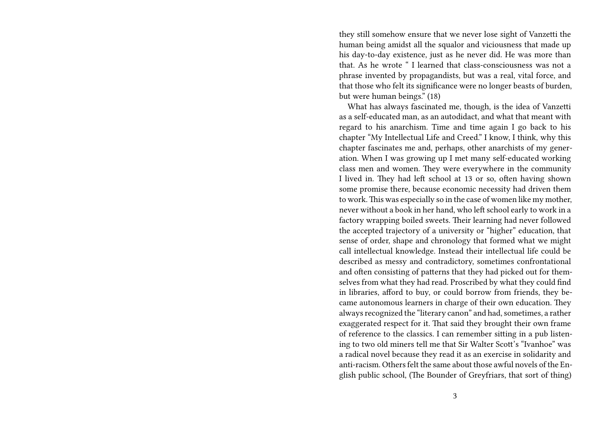they still somehow ensure that we never lose sight of Vanzetti the human being amidst all the squalor and viciousness that made up his day-to-day existence, just as he never did. He was more than that. As he wrote " I learned that class-consciousness was not a phrase invented by propagandists, but was a real, vital force, and that those who felt its significance were no longer beasts of burden, but were human beings." (18)

What has always fascinated me, though, is the idea of Vanzetti as a self-educated man, as an autodidact, and what that meant with regard to his anarchism. Time and time again I go back to his chapter "My Intellectual Life and Creed." I know, I think, why this chapter fascinates me and, perhaps, other anarchists of my generation. When I was growing up I met many self-educated working class men and women. They were everywhere in the community I lived in. They had left school at 13 or so, often having shown some promise there, because economic necessity had driven them to work.This was especially so in the case of women like my mother, never without a book in her hand, who left school early to work in a factory wrapping boiled sweets. Their learning had never followed the accepted trajectory of a university or "higher" education, that sense of order, shape and chronology that formed what we might call intellectual knowledge. Instead their intellectual life could be described as messy and contradictory, sometimes confrontational and often consisting of patterns that they had picked out for themselves from what they had read. Proscribed by what they could find in libraries, afford to buy, or could borrow from friends, they became autonomous learners in charge of their own education. They always recognized the "literary canon" and had, sometimes, a rather exaggerated respect for it. That said they brought their own frame of reference to the classics. I can remember sitting in a pub listening to two old miners tell me that Sir Walter Scott's "Ivanhoe" was a radical novel because they read it as an exercise in solidarity and anti-racism. Others felt the same about those awful novels of the English public school, (The Bounder of Greyfriars, that sort of thing)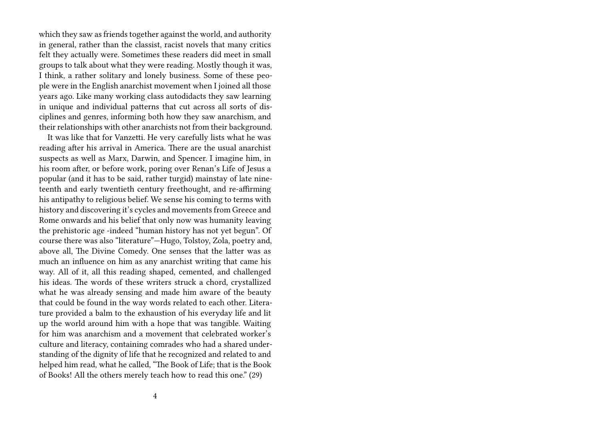which they saw as friends together against the world, and authority in general, rather than the classist, racist novels that many critics felt they actually were. Sometimes these readers did meet in small groups to talk about what they were reading. Mostly though it was, I think, a rather solitary and lonely business. Some of these people were in the English anarchist movement when I joined all those years ago. Like many working class autodidacts they saw learning in unique and individual patterns that cut across all sorts of disciplines and genres, informing both how they saw anarchism, and their relationships with other anarchists not from their background.

It was like that for Vanzetti. He very carefully lists what he was reading after his arrival in America. There are the usual anarchist suspects as well as Marx, Darwin, and Spencer. I imagine him, in his room after, or before work, poring over Renan's Life of Jesus a popular (and it has to be said, rather turgid) mainstay of late nineteenth and early twentieth century freethought, and re-affirming his antipathy to religious belief. We sense his coming to terms with history and discovering it's cycles and movements from Greece and Rome onwards and his belief that only now was humanity leaving the prehistoric age -indeed "human history has not yet begun". Of course there was also "literature"—Hugo, Tolstoy, Zola, poetry and, above all, The Divine Comedy. One senses that the latter was as much an influence on him as any anarchist writing that came his way. All of it, all this reading shaped, cemented, and challenged his ideas. The words of these writers struck a chord, crystallized what he was already sensing and made him aware of the beauty that could be found in the way words related to each other. Literature provided a balm to the exhaustion of his everyday life and lit up the world around him with a hope that was tangible. Waiting for him was anarchism and a movement that celebrated worker's culture and literacy, containing comrades who had a shared understanding of the dignity of life that he recognized and related to and helped him read, what he called, "The Book of Life; that is the Book of Books! All the others merely teach how to read this one." (29)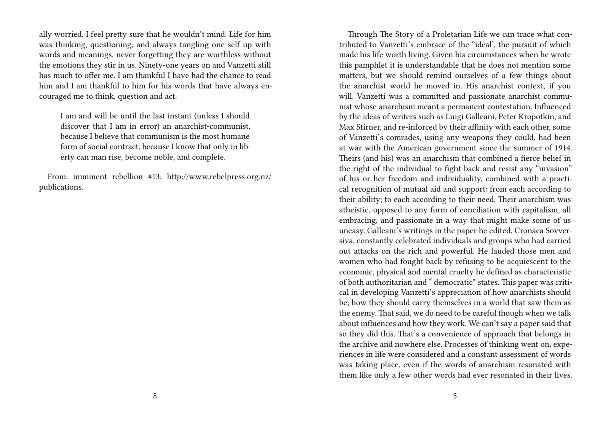ally worried. I feel pretty sure that he wouldn't mind. Life for him was thinking, questioning, and always tangling one self up with words and meanings, never forgetting they are worthless without the emotions they stir in us. Ninety-one years on and Vanzetti still has much to offer me. I am thankful I have had the chance to read him and I am thankful to him for his words that have always encouraged me to think, question and act.

I am and will be until the last instant (unless I should discover that I am in error) an anarchist-communist, because I believe that communism is the most humane form of social contract, because I know that only in liberty can man rise, become noble, and complete.

From: imminent rebellion #13: http://www.rebelpress.org.nz/ publications.

Through The Story of a Proletarian Life we can trace what contributed to Vanzetti's embrace of the "ideal', the pursuit of which made his life worth living. Given his circumstances when he wrote this pamphlet it is understandable that he does not mention some matters, but we should remind ourselves of a few things about the anarchist world he moved in. His anarchist context, if you will. Vanzetti was a committed and passionate anarchist communist whose anarchism meant a permanent contestation. Influenced by the ideas of writers such as Luigi Galleani, Peter Kropotkin, and Max Stirner, and re-inforced by their affinity with each other, some of Vanzetti's comrades, using any weapons they could, had been at war with the American government since the summer of 1914. Theirs (and his) was an anarchism that combined a fierce belief in the right of the individual to fight back and resist any "invasion" of his or her freedom and individuality, combined with a practical recognition of mutual aid and support: from each according to their ability; to each according to their need. Their anarchism was atheistic, opposed to any form of conciliation with capitalism, all embracing, and passionate in a way that might make some of us uneasy. Galleani's writings in the paper he edited, Cronaca Sovversiva, constantly celebrated individuals and groups who had carried out attacks on the rich and powerful. He lauded those men and women who had fought back by refusing to be acquiescent to the economic, physical and mental cruelty he defined as characteristic of both authoritarian and " democratic" states. This paper was critical in developing Vanzetti's appreciation of how anarchists should be; how they should carry themselves in a world that saw them as the enemy. That said, we do need to be careful though when we talk about influences and how they work. We can't say a paper said that so they did this. That's a convenience of approach that belongs in the archive and nowhere else. Processes of thinking went on, experiences in life were considered and a constant assessment of words was taking place, even if the words of anarchism resonated with them like only a few other words had ever resonated in their lives.